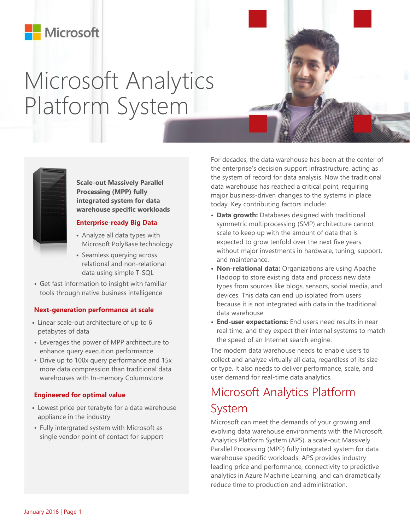## Microsoft

# Microsoft Analytics Platform System



**Scale-out Massively Parallel Processing (MPP) fully integrated system for data warehouse specific workloads**

### **Enterprise-ready Big Data**

- Analyze all data types with Microsoft PolyBase technology
- Seamless querying across relational and non-relational data using simple T-SQL
- Get fast information to insight with familiar tools through native business intelligence

### **Next-generation performance at scale**

- Linear scale-out architecture of up to 6 petabytes of data
- Leverages the power of MPP architecture to enhance query execution performance
- Drive up to 100x query performance and 15x more data compression than traditional data warehouses with In-memory Columnstore

#### **Engineered for optimal value**

- Lowest price per terabyte for a data warehouse appliance in the industry
- Fully intergrated system with Microsoft as single vendor point of contact for support

 For decades, the data warehouse has been at the center of the enterprise's decision support infrastructure, acting as the system of record for data analysis. Now the traditional data warehouse has reached a critical point, requiring major business-driven changes to the systems in place today. Key contributing factors include:

- **Data growth:** Databases designed with traditional symmetric multiprocessing (SMP) architecture cannot scale to keep up with the amount of data that is expected to grow tenfold over the next five years without major investments in hardware, tuning, support, and maintenance.
- **Non-relational data:** Organizations are using Apache Hadoop to store existing data and process new data types from sources like blogs, sensors, social media, and devices. This data can end up isolated from users because it is not integrated with data in the traditional data warehouse.
- **End-user expectations:** End users need results in near real time, and they expect their internal systems to match the speed of an Internet search engine.

The modern data warehouse needs to enable users to collect and analyze virtually all data, regardless of its size or type. It also needs to deliver performance, scale, and user demand for real-time data analytics.

## Microsoft Analytics Platform System

Microsoft can meet the demands of your growing and evolving data warehouse environments with the Microsoft Analytics Platform System (APS), a scale-out Massively Parallel Processing (MPP) fully integrated system for data warehouse specific workloads. APS provides industry leading price and performance, connectivity to predictive analytics in Azure Machine Learning, and can dramatically reduce time to production and administration.